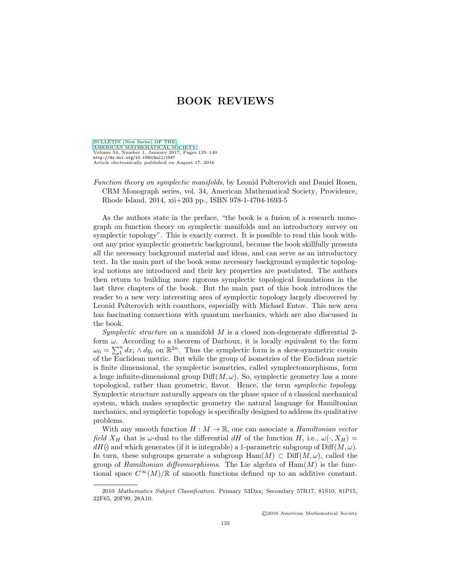[BULLETIN \(New Series\) OF THE](http://www.ams.org/bull/) [AMERICAN MATHEMATICAL SOCIETY](http://www.ams.org/bull/) Volume 54, Number 1, January 2017, Pages 135–140 <http://dx.doi.org/10.1090/bull/1547> Article electronically published on August 17, 2016

Function theory on symplectic manifolds, by Leonid Polterovich and Daniel Rosen, CRM Monograph series, vol. 34, American Mathematical Society, Providence, Rhode Island, 2014, xii+203 pp., ISBN 978-1-4704-1693-5

As the authors state in the preface, "the book is a fusion of a research monograph on function theory on symplectic manifolds and an introductory survey on symplectic topology". This is exactly correct. It is possible to read this book without any prior symplectic geometric background, because the book skillfully presents all the necessary background material and ideas, and can serve as an introductory text. In the main part of the book some necessary background symplectic topological notions are introduced and their key properties are postulated. The authors then return to building more rigorous symplectic topological foundations in the last three chapters of the book. But the main part of this book introduces the reader to a new very interesting area of symplectic topology largely discovered by Leonid Polterovich with coauthors, especially with Michael Entov. This new area has fascinating connections with quantum mechanics, which are also discussed in the book.

Symplectic structure on a manifold  $M$  is a closed non-degenerate differential 2form  $\omega$ . According to a theorem of Darboux, it is locally equivalent to the form Leonid Polterovich with coauthors, especially with Michael Entov. This new area<br>has fascinating connections with quantum mechanics, which are also discussed in<br>the book.<br>Symplectic structure on a manifold M is a closed no of the Euclidean metric. But while the group of isometries of the Euclidean metric is finite dimensional, the symplectic isometries, called symplectomorphisms, form a huge infinite-dimensional group  $\text{Diff}(M,\omega)$ . So, symplectic geometry has a more topological, rather than geometric, flavor. Hence, the term symplectic topology. Symplectic structure naturally appears on the phase space of a classical mechanical system, which makes symplectic geometry the natural language for Hamiltonian mechanics, and symplectic topology is specifically designed to address its qualitative problems.

With any smooth function  $H : M \to \mathbb{R}$ , one can associate a *Hamiltonian vector* field  $X_H$  that is  $\omega$ -dual to the differential dH of the function H, i.e.,  $\omega(\cdot, X_H) =$  $dH()$  and which generates (if it is integrable) a 1-parametric subgroup of Diff $(M, \omega)$ . In turn, these subgroups generate a subgroup  $\text{Ham}(M) \subset \text{Diff}(M,\omega)$ , called the group of *Hamiltonian diffeomorphisms*. The Lie algebra of  $\text{Ham}(M)$  is the functional space  $C^{\infty}(M)/\mathbb{R}$  of smooth functions defined up to an additive constant.

©2016 American Mathematical Society

<sup>2010</sup> Mathematics Subject Classification. Primary 53Dxx; Secondary 57R17, 81S10, 81P15, 22F65, 20F99, 28A10.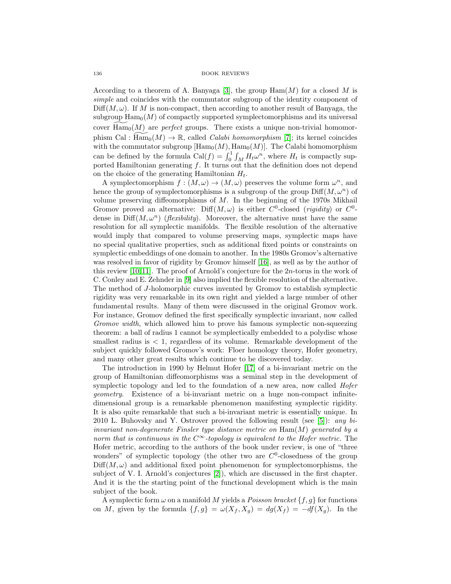According to a theorem of A. Banyaga [\[3\]](#page-4-0), the group  $\text{Ham}(M)$  for a closed M is simple and coincides with the commutator subgroup of the identity component of  $\text{Diff}(M,\omega)$ . If M is non-compact, then according to another result of Banyaga, the  $\text{EM}(M, \omega)$ . If M is non-compact, then according to another result of Banyaga, the subgroup  $\text{Ham}_0(M)$  of compactly supported symplectomorphisms and its universal cover  $\widetilde{\text{Ham}}_0(M)$  are *perfect* groups. There exists a unique non-trivial homomorphism Cal :  $\widetilde{\text{Ham}}_0(M) \to \mathbb{R}$ , called *Calabi homomorphism* [\[7\]](#page-4-1); its kernel coincides with the commutator subgroup  $[\text{Ham}_{0}(M), \text{Ham}_{0}(M)]$ . The Calabi homomorphism  $\text{Im}(M, \omega)$ . If *M* is non-compact, then according to another result of Banyaga, the<br>subgroup  $\text{Ham}_0(M)$  of compactly supported symplectomorphisms and its universal<br>cover  $\text{Ham}_0(M)$  are *perfect* groups. There exists a u ported Hamiltonian generating  $f$ . It turns out that the definition does not depend on the choice of the generating Hamiltonian  $H_t$ .

A symplectomorphism  $f : (M, \omega) \to (M, \omega)$  preserves the volume form  $\omega^n$ , and hence the group of symplectomorphisms is a subgroup of the group  $\text{Diff}(M,\omega^n)$  of volume preserving diffeomorphisms of  $M$ . In the beginning of the 1970s Mikhail Gromov proved an alternative: Diff $(M, \omega)$  is either  $C^0$ -closed (rigidity) or  $C^0$ dense in  $\text{Diff}(M,\omega^n)$  (*flexibility*). Moreover, the alternative must have the same resolution for all symplectic manifolds. The flexible resolution of the alternative would imply that compared to volume preserving maps, symplectic maps have no special qualitative properties, such as additional fixed points or constraints on symplectic embeddings of one domain to another. In the 1980s Gromov's alternative was resolved in favor of rigidity by Gromov himself [\[16\]](#page-5-0), as well as by the author of this review  $[10, 11]$  $[10, 11]$ . The proof of Arnold's conjecture for the  $2n$ -torus in the work of C. Conley and E. Zehnder in [\[9\]](#page-4-4) also implied the flexible resolution of the alternative. The method of J-holomorphic curves invented by Gromov to establish symplectic rigidity was very remarkable in its own right and yielded a large number of other fundamental results. Many of them were discussed in the original Gromov work. For instance, Gromov defined the first specifically symplectic invariant, now called Gromov width, which allowed him to prove his famous symplectic non-squeezing theorem: a ball of radius 1 cannot be symplectically embedded to a polydisc whose smallest radius is  $\lt 1$ , regardless of its volume. Remarkable development of the subject quickly followed Gromov's work: Floer homology theory, Hofer geometry, and many other great results which continue to be discovered today.

The introduction in 1990 by Helmut Hofer [\[17\]](#page-5-1) of a bi-invariant metric on the group of Hamiltonian diffeomorphisms was a seminal step in the development of symplectic topology and led to the foundation of a new area, now called *Hofer* geometry. Existence of a bi-invariant metric on a huge non-compact infinitedimensional group is a remarkable phenomenon manifesting symplectic rigidity. It is also quite remarkable that such a bi-invariant metric is essentially unique. In 2010 L. Buhovsky and Y. Ostrover proved the following result (see [\[5\]](#page-4-5)): any biinvariant non-degenerate Finsler type distance metric on  $\text{Ham}(M)$  generated by a norm that is continuous in the  $C^{\infty}$ -topology is equivalent to the Hofer metric. The Hofer metric, according to the authors of the book under review, is one of "three wonders" of symplectic topology (the other two are  $C^0$ -closedness of the group  $Diff(M, \omega)$  and additional fixed point phenomenon for symplectomorphisms, the subject of V. I. Arnold's conjectures [\[2\]](#page-4-6)), which are discussed in the first chapter. And it is the the starting point of the functional development which is the main subject of the book.

A symplectic form  $\omega$  on a manifold M yields a *Poisson bracket*  $\{f, g\}$  for functions on M, given by the formula  $\{f,g\} = \omega(X_f, X_g) = dg(X_f) = -df(X_g)$ . In the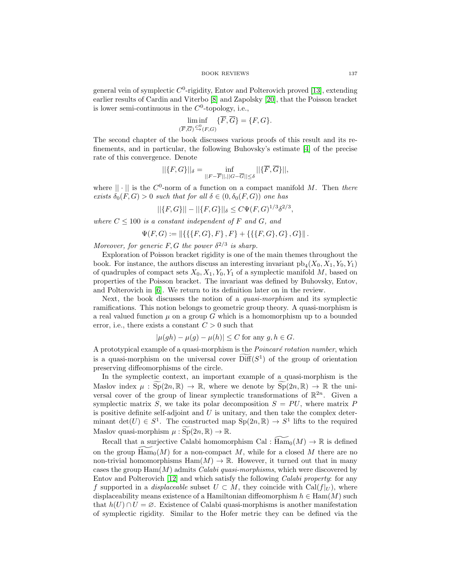general vein of symplectic  $C^0$ -rigidity, Entov and Polterovich proved [\[13\]](#page-4-7), extending earlier results of Cardin and Viterbo [\[8\]](#page-4-8) and Zapolsky [\[20\]](#page-5-2), that the Poisson bracket is lower semi-continuous in the  $C^0$ -topology, i.e.,

$$
\liminf_{(\overline{F},\overline{G})\stackrel{C_0}{\to}(F,G)} \{\overline{F},\overline{G}\} = \{F,G\}.
$$

The second chapter of the book discusses various proofs of this result and its refinements, and in particular, the following Buhovsky's estimate [\[4\]](#page-4-9) of the precise rate of this convergence. Denote

$$
||\{F,G\}||_{\delta} = \inf_{||F-\overline{F}||,||G-\overline{G}|| \leq \delta} ||\{\overline{F},\overline{G}\}||,
$$

where  $|| \cdot ||$  is the  $C^0$ -norm of a function on a compact manifold M. Then there exists  $\delta_0(F,G) > 0$  such that for all  $\delta \in (0, \delta_0(F,G))$  one has

$$
||\{F,G\}|| - ||\{F,G\}||_{\delta} \le C\Psi(F,G)^{1/3}\delta^{2/3},
$$

where  $C \leq 100$  is a constant independent of F and G, and

$$
\Psi(F,G) := \|\{\{\{F,G\},F\},F\} + \{\{\{F,G\},G\},G\}\|.
$$

Moreover, for generic F, G the power  $\delta^{2/3}$  is sharp.

Exploration of Poisson bracket rigidity is one of the main themes throughout the book. For instance, the authors discuss an interesting invariant  $\operatorname{pb}_4(X_0, X_1, Y_0, Y_1)$ of quadruples of compact sets  $X_0, X_1, Y_0, Y_1$  of a symplectic manifold M, based on properties of the Poisson bracket. The invariant was defined by Buhovsky, Entov, and Polterovich in [\[6\]](#page-4-10). We return to its definition later on in the review.

Next, the book discusses the notion of a *quasi-morphism* and its symplectic ramifications. This notion belongs to geometric group theory. A quasi-morphism is a real valued function  $\mu$  on a group G which is a homomorphism up to a bounded error, i.e., there exists a constant  $C > 0$  such that

$$
|\mu(gh) - \mu(g) - \mu(h)| \le C \text{ for any } g, h \in G.
$$

A prototypical example of a quasi-morphism is the  $Poincaré$  rotation number, which is a quasi-morphism on the universal cover Diff( $S^1$ ) of the group of orientation<br>is a quasi-morphism is the *Poincaré rotation number*, which<br>is a quasi-morphism on the universal cover  $\text{Diff}(S^1)$  of the group of orient preserving diffeomorphisms of the circle. A prototypical example of a quasi-morphism is the *Poincaré rotation number*, which<br>is a quasi-morphism on the universal cover  $\widehat{Diff}(S^1)$  of the group of orientation<br>preserving diffeomorphisms of the circle.<br>In the symp

In the symplectic context, an important example of a quasi-morphism is the versal cover of the group of linear symplectic transformations of  $\mathbb{R}^{2n}$ . Given a symplectic matrix S, we take its polar decomposition  $S = PU$ , where matrix P is positive definite self-adjoint and  $U$  is unitary, and then take the complex determinant det(U)  $\in S^1$ . The constructed map  $\text{Sp}(2n,\mathbb{R}) \to S^1$  lifts to the required Maslov index  $\mu$  :  $\overline{Sp}(2n, \mathbb{R}) \to \mathbb{R}$ , where we denote by  $\overline{Sp}(2n, \mathbb{R}) \to \mathbb{R}$  the universal cover of the group of linear symplectic transformations of  $\mathbb{R}^{2n}$ . Given a symplectic matrix *S*, we take its

Recall that a surjective Calabi homomorphism Cal :  $\widetilde{Ham}_{0}(M) \to \mathbb{R}$  is defined on the group  $\widetilde{\text{Ham}}_0(M)$  for a non-compact M, while for a closed M there are no non-trivial homomorphisms  $\text{Ham}(M) \to \mathbb{R}$ . However, it turned out that in many cases the group  $\text{Ham}(M)$  admits *Calabi quasi-morphisms*, which were discovered by Entov and Polterovich [\[12\]](#page-4-11) and which satisfy the following Calabi property: for any f supported in a *displaceable* subset  $U \subset M$ , they coincide with Cal( $f|_U$ ), where displaceability means existence of a Hamiltonian diffeomorphism  $h \in \text{Ham}(M)$  such that  $h(U) \cap U = \emptyset$ . Existence of Calabi quasi-morphisms is another manifestation of symplectic rigidity. Similar to the Hofer metric they can be defined via the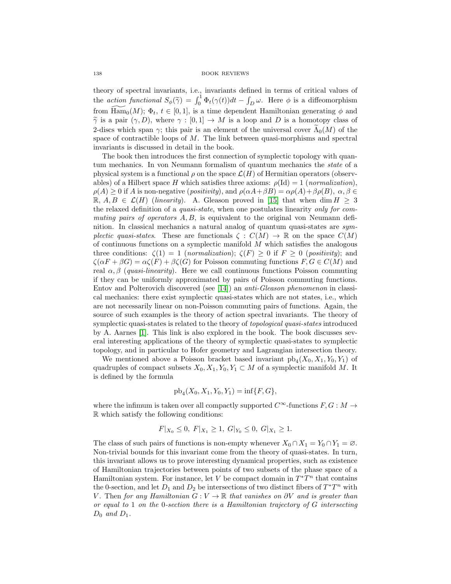theory of spectral invariants, i.e., invariants defined in terms of critical values of 138 BOOK REVIEWS<br>theory of spectral invariants, i.e., invariants defined in terms of critical values of<br>the *action functional*  $S_{\phi}(\tilde{\gamma}) = \int_0^1 \Phi_t(\gamma(t))dt - \int_D \omega$ . Here  $\phi$  is a diffeomorphism from  $\widetilde{\text{Ham}}_0(M)$ ;  $\Phi_t$ ,  $t \in [0,1]$ , is a time dependent Hamiltonian generating  $\phi$  and theory of spectral invariants, i.e., invariants defined in terms of critical values of<br>the *action functional*  $S_{\phi}(\tilde{\gamma}) = \int_0^1 \Phi_t(\gamma(t))dt - \int_D \omega$ . Here  $\phi$  is a diffeomorphism<br>from  $\overline{\text{Ham}}_0(M)$ ;  $\Phi_t$ ,  $t \in [0, 1]$ , is theory of spectral invariants, i.e., invariants defined in terms of critical values of<br>the *action functional*  $S_{\phi}(\tilde{\gamma}) = \int_0^1 \Phi_t(\gamma(t))dt - \int_D \omega$ . Here  $\phi$  is a diffeomorphism<br>from  $\overline{\text{Ham}}_0(M)$ ;  $\Phi_t$ ,  $t \in [0,1]$ , is a space of contractible loops of  $M$ . The link between quasi-morphisms and spectral invariants is discussed in detail in the book.

The book then introduces the first connection of symplectic topology with quantum mechanics. In von Neumann formalism of quantum mechanics the state of a physical system is a functional  $\rho$  on the space  $\mathcal{L}(H)$  of Hermitian operators (observables) of a Hilbert space H which satisfies three axioms:  $\rho(\text{Id}) = 1$  (normalization),  $\rho(A) \geq 0$  if A is non-negative (positivity), and  $\rho(\alpha A + \beta B) = \alpha \rho(A) + \beta \rho(B)$ ,  $\alpha, \beta \in$  $\mathbb{R}, A, B \in \mathcal{L}(H)$  (linearity). A. Gleason proved in [\[15\]](#page-5-3) that when dim  $H \geq 3$ the relaxed definition of a quasi-state, when one postulates linearity only for commuting pairs of operators  $A, B$ , is equivalent to the original von Neumann definition. In classical mechanics a natural analog of quantum quasi-states are symplectic quasi-states. These are functionals  $\zeta : C(M) \to \mathbb{R}$  on the space  $C(M)$ of continuous functions on a symplectic manifold  $M$  which satisfies the analogous three conditions:  $\zeta(1) = 1$  (*normalization*);  $\zeta(F) \geq 0$  if  $F \geq 0$  (*positivity*); and  $\zeta(\alpha F + \beta G) = \alpha \zeta(F) + \beta \zeta(G)$  for Poisson commuting functions  $F, G \in C(M)$  and real  $\alpha, \beta$  (quasi-linearity). Here we call continuous functions Poisson commuting if they can be uniformly approximated by pairs of Poisson commuting functions. Entov and Polterovich discovered (see [\[14\]](#page-4-12)) an anti-Gleason phenomenon in classical mechanics: there exist symplectic quasi-states which are not states, i.e., which are not necessarily linear on non-Poisson commuting pairs of functions. Again, the source of such examples is the theory of action spectral invariants. The theory of symplectic quasi-states is related to the theory of topological quasi-states introduced by A. Aarnes [\[1\]](#page-4-13). This link is also explored in the book. The book discusses several interesting applications of the theory of symplectic quasi-states to symplectic topology, and in particular to Hofer geometry and Lagrangian intersection theory.

We mentioned above a Poisson bracket based invariant  $pb_4(X_0, X_1, Y_0, Y_1)$  of quadruples of compact subsets  $X_0, X_1, Y_0, Y_1 \subset M$  of a symplectic manifold M. It is defined by the formula

$$
pb_4(X_0, X_1, Y_0, Y_1) = inf{F, G},
$$

where the infimum is taken over all compactly supported  $C^{\infty}$ -functions  $F, G : M \rightarrow$ R which satisfy the following conditions:

$$
F|_{X_0} \leq 0
$$
,  $F|_{X_1} \geq 1$ ,  $G|_{Y_0} \leq 0$ ,  $G|_{X_1} \geq 1$ .

The class of such pairs of functions is non-empty whenever  $X_0 \cap X_1 = Y_0 \cap Y_1 = \emptyset$ . Non-trivial bounds for this invariant come from the theory of quasi-states. In turn, this invariant allows us to prove interesting dynamical properties, such as existence of Hamiltonian trajectories between points of two subsets of the phase space of a Hamiltonian system. For instance, let V be compact domain in  $T^*T^n$  that contains the 0-section, and let  $D_1$  and  $D_2$  be intersections of two distinct fibers of  $T^*T^n$  with V. Then for any Hamiltonian  $G: V \to \mathbb{R}$  that vanishes on  $\partial V$  and is greater than or equal to 1 on the 0-section there is a Hamiltonian trajectory of  $G$  intersecting  $D_0$  and  $D_1$ .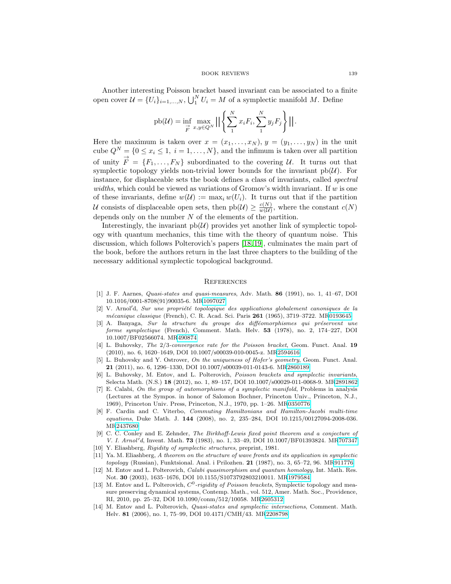Another interesting Poisson bracket based invariant can be associated to a finite open cover  $\mathcal{U} = \{U_i\}_{i=1,\dots,N}$ ,  $\bigcup_{1}^{N} U_i = M$  of a symplectic manifold M. Define

$$
\text{pb}(\mathcal{U}) = \inf_{\vec{F}} \max_{x,y \in Q^N} \left| \left| \left\{ \sum_{1}^N x_i F_i, \sum_{1}^N y_j F_j \right\} \right| \right|.
$$

Here the maximum is taken over  $x = (x_1, \ldots, x_N)$ ,  $y = (y_1, \ldots, y_N)$  in the unit cube  $Q^N = \{0 \le x_i \le 1, i = 1, ..., N\}$ , and the infimum is taken over all partition of unity  $\overrightarrow{F} = \{F_1, \ldots, F_N\}$  subordinated to the covering U. It turns out that symplectic topology yields non-trivial lower bounds for the invariant  $pb(\mathcal{U})$ . For instance, for displaceable sets the book defines a class of invariants, called spectral widths, which could be viewed as variations of Gromov's width invariant. If  $w$  is one of these invariants, define  $w(\mathcal{U}) := \max_i w(U_i)$ . It turns out that if the partition U consists of displaceable open sets, then  $pb(\mathcal{U}) \geq \frac{c(N)}{w(\mathcal{U})}$ , where the constant  $c(N)$ depends only on the number  $N$  of the elements of the partition.

Interestingly, the invariant  $pb(\mathcal{U})$  provides yet another link of symplectic topology with quantum mechanics, this time with the theory of quantum noise. This discussion, which follows Polterovich's papers [\[18,](#page-5-4) [19\]](#page-5-5), culminates the main part of the book, before the authors return in the last three chapters to the building of the necessary additional symplectic topological background.

#### **REFERENCES**

- <span id="page-4-13"></span>[1] J. F. Aarnes, Quasi-states and quasi-measures, Adv. Math. **86** (1991), no. 1, 41–67, DOI 10.1016/0001-8708(91)90035-6. M[R1097027](http://www.ams.org/mathscinet-getitem?mr=1097027)
- <span id="page-4-6"></span>[2] V. Arnol'd, Sur une propriété topologique des applications globalement canoniques de la m´ecanique classique (French), C. R. Acad. Sci. Paris **261** (1965), 3719–3722. M[R0193645](http://www.ams.org/mathscinet-getitem?mr=0193645)
- <span id="page-4-0"></span> $[3]$  A. Banyaga, Sur la structure du groupe des difféomorphismes qui préservent une forme symplectique (French), Comment. Math. Helv. **53** (1978), no. 2, 174–227, DOI 10.1007/BF02566074. M[R490874](http://www.ams.org/mathscinet-getitem?mr=490874)
- <span id="page-4-9"></span>[4] L. Buhovsky, The 2/3-convergence rate for the Poisson bracket, Geom. Funct. Anal. **19** (2010), no. 6, 1620–1649, DOI 10.1007/s00039-010-0045-z. M[R2594616](http://www.ams.org/mathscinet-getitem?mr=2594616)
- <span id="page-4-5"></span>[5] L. Buhovsky and Y. Ostrover, On the uniqueness of Hofer's geometry, Geom. Funct. Anal. **21** (2011), no. 6, 1296–1330, DOI 10.1007/s00039-011-0143-6. M[R2860189](http://www.ams.org/mathscinet-getitem?mr=2860189)
- <span id="page-4-10"></span>[6] L. Buhovsky, M. Entov, and L. Polterovich, Poisson brackets and symplectic invariants, Selecta Math. (N.S.) **18** (2012), no. 1, 89–157, DOI 10.1007/s00029-011-0068-9. M[R2891862](http://www.ams.org/mathscinet-getitem?mr=2891862)
- <span id="page-4-1"></span>[7] E. Calabi, On the group of automorphisms of a symplectic manifold, Problems in analysis (Lectures at the Sympos. in honor of Salomon Bochner, Princeton Univ., Princeton, N.J., 1969), Princeton Univ. Press, Princeton, N.J., 1970, pp. 1–26. M[R0350776](http://www.ams.org/mathscinet-getitem?mr=0350776)
- <span id="page-4-8"></span>[8] F. Cardin and C. Viterbo, Commuting Hamiltonians and Hamilton-Jacobi multi-time equations, Duke Math. J. **144** (2008), no. 2, 235–284, DOI 10.1215/00127094-2008-036. M[R2437680](http://www.ams.org/mathscinet-getitem?mr=2437680)
- <span id="page-4-4"></span>[9] C. C. Conley and E. Zehnder, The Birkhoff-Lewis fixed point theorem and a conjecture of *V. I. Arnol'd*, Invent. Math. **73** (1983), no. 1, 33–49, DOI 10.1007/BF01393824. M[R707347](http://www.ams.org/mathscinet-getitem?mr=707347)
- <span id="page-4-2"></span>[10] Y. Eliashberg, Rigidity of symplectic structures, preprint, 1981.
- <span id="page-4-3"></span>[11] Ya. M. Eliashberg, A theorem on the structure of wave fronts and its application in symplectic topology (Russian), Funktsional. Anal. i Prilozhen. **21** (1987), no. 3, 65–72, 96. M[R911776](http://www.ams.org/mathscinet-getitem?mr=911776)
- <span id="page-4-11"></span>[12] M. Entov and L. Polterovich, Calabi quasimorphism and quantum homology, Int. Math. Res. Not. **30** (2003), 1635–1676, DOI 10.1155/S1073792803210011. M[R1979584](http://www.ams.org/mathscinet-getitem?mr=1979584)
- <span id="page-4-7"></span>[13] M. Entov and L. Polterovich,  $C^0$ -rigidity of Poisson brackets, Symplectic topology and measure preserving dynamical systems, Contemp. Math., vol. 512, Amer. Math. Soc., Providence, RI, 2010, pp. 25–32, DOI 10.1090/conm/512/10058. M[R2605312](http://www.ams.org/mathscinet-getitem?mr=2605312)
- <span id="page-4-12"></span>[14] M. Entov and L. Polterovich, *Quasi-states and symplectic intersections*, Comment. Math. Helv. **81** (2006), no. 1, 75–99, DOI 10.4171/CMH/43. M[R2208798](http://www.ams.org/mathscinet-getitem?mr=2208798)